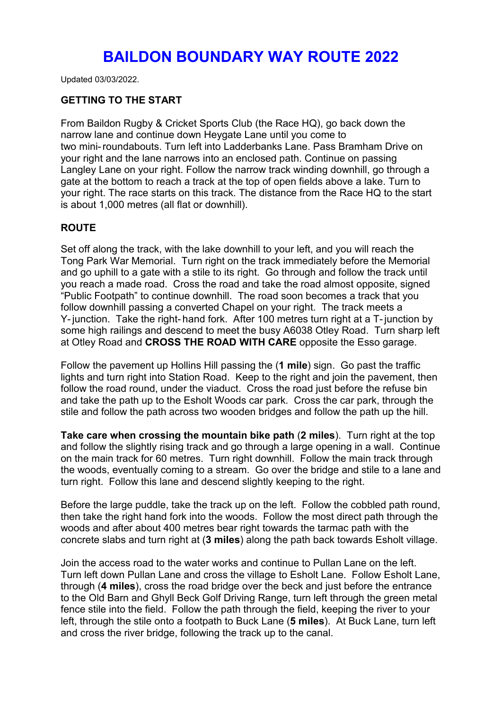## **BAILDON BOUNDARY WAY ROUTE 2022**

Updated 03/03/2022.

## **GETTING TO THE START**

From Baildon Rugby & Cricket Sports Club (the Race HQ), go back down the narrow lane and continue down Heygate Lane until you come to two mini-roundabouts. Turn left into Ladderbanks Lane. Pass Bramham Drive on your right and the lane narrows into an enclosed path. Continue on passing Langley Lane on your right. Follow the narrow track winding downhill, go through a gate at the bottom to reach a track at the top of open fields above a lake. Turn to your right. The race starts on this track. The distance from the Race HQ to the start is about 1,000 metres (all flat or downhill).

## **ROUTE**

Set off along the track, with the lake downhill to your left, and you will reach the Tong Park War Memorial. Turn right on the track immediately before the Memorial and go uphill to a gate with a stile to its right. Go through and follow the track until you reach a made road. Cross the road and take the road almost opposite, signed "Public Footpath" to continue downhill. The road soon becomes a track that you follow downhill passing a converted Chapel on your right. The track meets a Y-junction. Take the right-hand fork. After 100 metres turn right at a T-junction by some high railings and descend to meet the busy A6038 Otley Road. Turn sharp left at Otley Road and **CROSS THE ROAD WITH CARE** opposite the Esso garage.

Follow the pavement up Hollins Hill passing the (**1 mile**) sign. Go past the traffic lights and turn right into Station Road. Keep to the right and join the pavement, then follow the road round, under the viaduct. Cross the road just before the refuse bin and take the path up to the Esholt Woods car park. Cross the car park, through the stile and follow the path across two wooden bridges and follow the path up the hill.

**Take care when crossing the mountain bike path** (**2 miles**). Turn right at the top and follow the slightly rising track and go through a large opening in a wall. Continue on the main track for 60 metres. Turn right downhill. Follow the main track through the woods, eventually coming to a stream. Go over the bridge and stile to a lane and turn right. Follow this lane and descend slightly keeping to the right.<br>Before the large puddle, take the track up on the left. Follow the cobbled path round,

then take the right hand fork into the woods. Follow the most direct path through the woods and after about 400 metres bear right towards the tarmac path with the concrete slabs and turn right at(**3 miles**) along the path back towards Esholt village.

Join the access road to the water works and continue to Pullan Lane on the left. Turn left down Pullan Lane and cross the village to Esholt Lane. Follow Esholt Lane, through (**4 miles**), cross the road bridge over the beck and just before the entrance to the Old Barn and Ghyll Beck Golf Driving Range, turn left through the green metal fence stile into the field. Follow the path through the field, keeping the river to your left, through the stile onto a footpath to Buck Lane (**5 miles**). At Buck Lane, turn left and cross the river bridge, following the track up to the canal.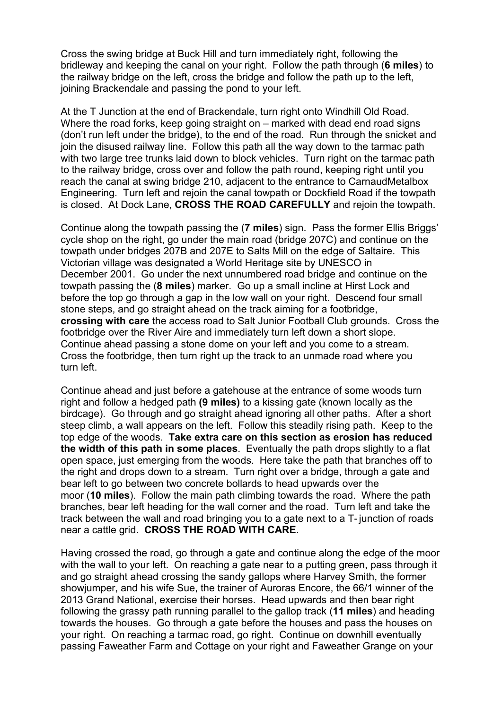Cross the swing bridge at Buck Hill and turn immediately right, following the bridleway and keeping the canal on your right. Follow the path through (**6 miles**) to the railway bridge on the left, cross the bridge and follow the path up to the left, joining Brackendale and passing the pond to your left.

At the T Junction at the end of Brackendale, turn right onto Windhill Old Road. Where the road forks, keep going straight on – marked with dead end road signs (don't run left under the bridge), to the end of the road. Run through the snicket and join the disused railway line. Follow this path all the way down to the tarmac path with two large tree trunks laid down to block vehicles. Turn right on the tarmac path to the railway bridge, cross over and follow the path round, keeping right until you reach the canal at swing bridge 210, adjacent to the entrance to CarnaudMetalbox Engineering. Turn left and rejoin the canal towpath or Dockfield Road if the towpath is closed. At Dock Lane, **CROSS THE ROAD CAREFULLY** and rejoin the towpath.

Continue along the towpath passing the (**7 miles**) sign. Pass the former Ellis Briggs' cycle shop on the right, go under the main road (bridge 207C) and continue on the towpath under bridges 207B and 207E to Salts Mill on the edge of Saltaire. This Victorian village was designated a World Heritage site by UNESCO in December 2001. Go under the next unnumbered road bridge and continue on the towpath passing the (**8 miles**) marker. Go up a small incline at Hirst Lock and before the top go through a gap in the low wall on your right. Descend four small stone steps, and go straight ahead on the track aiming for a footbridge, **crossing with care** the access road to Salt Junior Football Club grounds. Cross the footbridge over the River Aire and immediately turn left down a short slope. Continue ahead passing a stone dome on your left and you come to a stream. Cross the footbridge, then turn right up the track to an unmade road where you turn left.

Continue ahead and just before a gatehouse at the entrance of some woods turn right and follow a hedged path **(9 miles)** to a kissing gate (known locally as the birdcage). Go through and go straight ahead ignoring all other paths. After a short steep climb, a wall appears on the left. Follow this steadily rising path. Keep to the top edge of the woods. **Take extra care on this section as erosion has reduced the width of this path in some places**. Eventually the path drops slightly to a flat open space, just emerging from the woods. Here take the path that branches off to the right and drops down to a stream. Turn right over a bridge, through a gate and bear left to go between two concrete bollards to head upwards over the moor (**10 miles**). Follow the main path climbing towards the road. Where the path branches, bear left heading for the wall corner and the road. Turn left and take the track between the wall and road bringing you to a gate next to a T-junction of roads near a cattle grid. **CROSS THE ROAD WITH CARE**.

Having crossed the road, go through a gate and continue along the edge of the moor with the wall to your left. On reaching a gate near to a putting green, pass through it and go straight ahead crossing the sandy gallops where Harvey Smith, the former showjumper, and his wife Sue, the trainer of Auroras Encore, the 66/1 winner of the 2013 Grand National, exercise their horses. Head upwards and then bear right following the grassy path running parallel to the gallop track (**11 miles**) and heading towards the houses. Go through a gate before the houses and pass the houses on your right. On reaching a tarmac road, go right. Continue on downhill eventually passing Faweather Farm and Cottage on your right and Faweather Grange on your